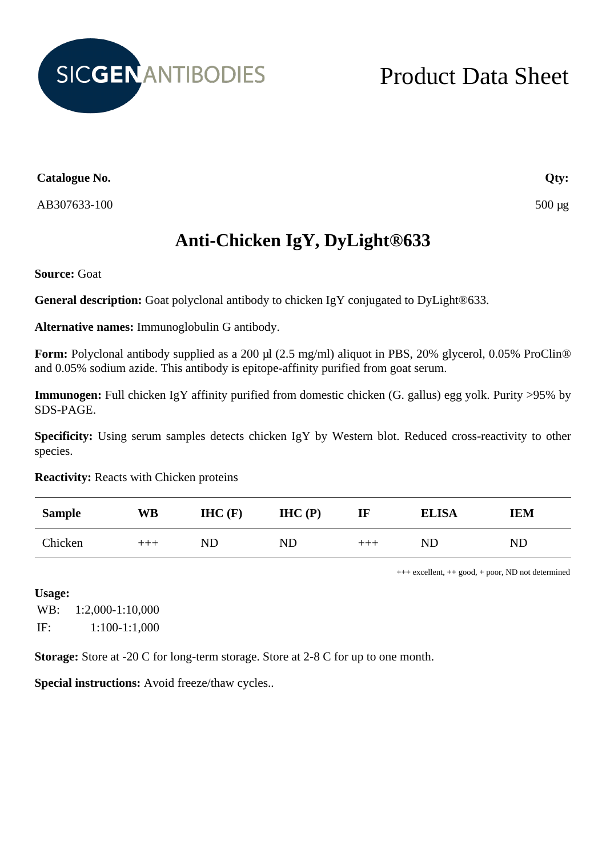

## Product Data Sheet

**Catalogue No.**

AB307633-100

## **Anti-Chicken IgY, DyLight®633**

**Source:** Goat

**General description:** Goat polyclonal antibody to chicken IgY conjugated to DyLight®633.

**Alternative names:** Immunoglobulin G antibody.

**Form:** Polyclonal antibody supplied as a 200 µl (2.5 mg/ml) aliquot in PBS, 20% glycerol, 0.05% ProClin® and 0.05% sodium azide. This antibody is epitope-affinity purified from goat serum.

**Immunogen:** Full chicken IgY affinity purified from domestic chicken (G. gallus) egg yolk. Purity >95% by SDS-PAGE.

**Specificity:** Using serum samples detects chicken IgY by Western blot. Reduced cross-reactivity to other species.

**Reactivity:** Reacts with Chicken proteins

| <b>Sample</b> | WB    | $HIC$ (F) | IHC(P) | $\mathbf{I}$ | <b>ELISA</b> | IEM        |
|---------------|-------|-----------|--------|--------------|--------------|------------|
| Chicken       | $+++$ | ND        | ND     | $+++$        | ND           | ${\rm ND}$ |

+++ excellent, ++ good, + poor, ND not determined

**Usage:** WB: 1:2,000-1:10,000 IF: 1:100-1:1,000

**Storage:** Store at -20 C for long-term storage. Store at 2-8 C for up to one month.

**Special instructions:** Avoid freeze/thaw cycles..

**Qty:**

500 µg